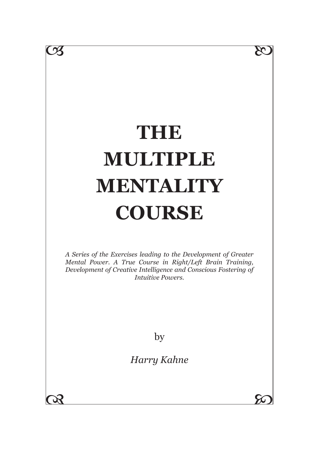# **THE MULTIPLE MENTALITY COURSE**

 $\infty$ 

*A Series of the Exercises leading to the Development of Greater Mental Power. A True Course in Right/Left Brain Training, Development of Creative Intelligence and Conscious Fostering of Intuitive Powers.*

by

*Harry Kahne*

08 20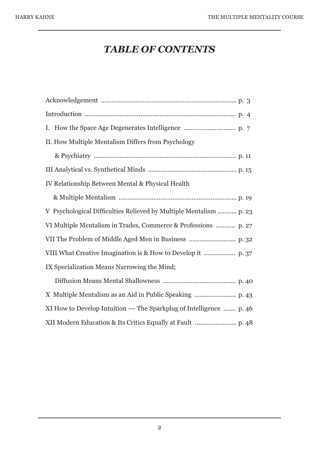## *TABLE OF CONTENTS*

| II. How Multiple Mentalism Differs from Psychology                   |
|----------------------------------------------------------------------|
|                                                                      |
|                                                                      |
| IV Relationship Between Mental & Physical Health                     |
|                                                                      |
| V Psychological Difficulties Relieved by Multiple Mentalism  p. 23   |
| VI Multiple Mentalism in Trades, Commerce & Professions  p. 27       |
|                                                                      |
|                                                                      |
| IX Specialization Means Narrowing the Mind;                          |
|                                                                      |
|                                                                      |
| XI How to Develop Intuition --- The Sparkplug of Intelligence  p. 46 |
|                                                                      |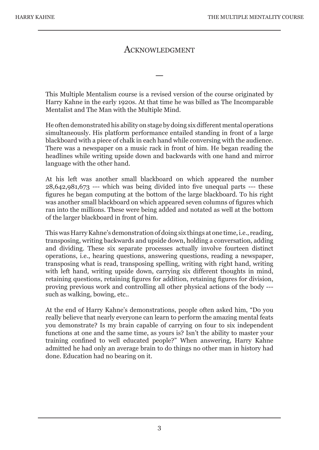#### ACKNOWLEDGMENT

—

This Multiple Mentalism course is a revised version of the course originated by Harry Kahne in the early 1920s. At that time he was billed as The Incomparable Mentalist and The Man with the Multiple Mind.

He often demonstrated his ability on stage by doing six different mental operations simultaneously. His platform performance entailed standing in front of a large blackboard with a piece of chalk in each hand while conversing with the audience. There was a newspaper on a music rack in front of him. He began reading the headlines while writing upside down and backwards with one hand and mirror language with the other hand.

At his left was another small blackboard on which appeared the number 28,642,981,673 --- which was being divided into five unequal parts --- these figures he began computing at the bottom of the large blackboard. To his right was another small blackboard on which appeared seven columns of figures which ran into the millions. These were being added and notated as well at the bottom of the larger blackboard in front of him.

This was Harry Kahne's demonstration of doing six things at one time, i.e., reading, transposing, writing backwards and upside down, holding a conversation, adding and dividing. These six separate processes actually involve fourteen distinct operations, i.e., hearing questions, answering questions, reading a newspaper, transposing what is read, transposing spelling, writing with right hand, writing with left hand, writing upside down, carrying six different thoughts in mind, retaining questions, retaining figures for addition, retaining figures for division, proving previous work and controlling all other physical actions of the body -- such as walking, bowing, etc..

At the end of Harry Kahne's demonstrations, people often asked him, "Do you really believe that nearly everyone can learn to perform the amazing mental feats you demonstrate? Is my brain capable of carrying on four to six independent functions at one and the same time, as yours is? Isn't the ability to master your training confined to well educated people?" When answering, Harry Kahne admitted he had only an average brain to do things no other man in history had done. Education had no bearing on it.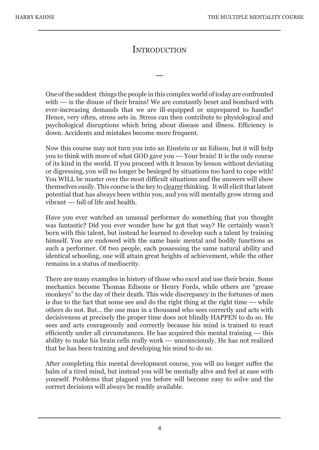### **INTRODUCTION**

—

One of the saddest things the people in this complex world of today are confronted with --- is the disuse of their brains! We are constantly beset and bombard with ever-increasing demands that we are ill-equipped or unprepared to handle! Hence, very often, stress sets in. Stress can then contribute to physiological and psychological disruptions which bring about disease and illness. Efficiency is down. Accidents and mistakes become more frequent.

Now this course may not turn you into an Einstein or an Edison, but it will help you to think with more of what GOD gave you --- Your brain! It is the only course of its kind in the world. If you proceed with it lesson by lesson without deviating or digressing, you will no longer be besieged by situations too hard to cope with! You WILL be master over the most difficult situations and the answers will show themselves easily. This course is the key to clearer thinking. It will elicit that latent potential that has always been within you, and you will mentally grow strong and vibrant --- full of life and health.

Have you ever watched an unusual performer do something that you thought was fantastic? Did you ever wonder how he got that way? He certainly wasn't born with this talent, but instead he learned to develop such a talent by training himself. You are endowed with the same basic mental and bodily functions as such a performer. Of two people, each possessing the same natural ability and identical schooling, one will attain great heights of achievement, while the other remains in a status of mediocrity.

There are many examples in history of those who excel and use their brain. Some mechanics become Thomas Edisons or Henry Fords, while others are "grease monkeys" to the day of their death. This wide discrepancy in the fortunes of men is due to the fact that some see and do the right thing at the right time --- while others do not. But... the one man in a thousand who sees correctly and acts with decisiveness at precisely the proper time does not blindly HAPPEN to do so. He sees and acts courageously and correctly because his mind is trained to react efficiently under all circumstances. He has acquired this mental training --- this ability to make his brain cells really work --- unconsciously. He has not realized that he has been training and developing his mind to do so.

After completing this mental development course, you will no longer suffer the balm of a tired mind, but instead you will be mentally alive and feel at ease with yourself. Problems that plagued you before will become easy to solve and the correct decisions will always be readily available.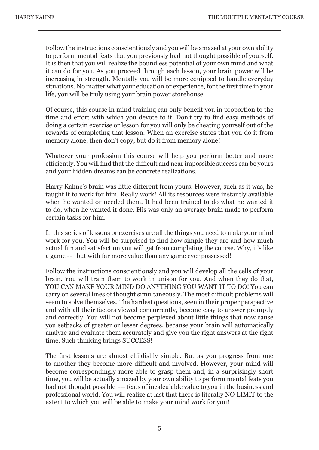Follow the instructions conscientiously and you will be amazed at your own ability to perform mental feats that you previously had not thought possible of yourself. It is then that you will realize the boundless potential of your own mind and what it can do for you. As you proceed through each lesson, your brain power will be increasing in strength. Mentally you will be more equipped to handle everyday situations. No matter what your education or experience, for the first time in your life, you will be truly using your brain power storehouse.

Of course, this course in mind training can only benefit you in proportion to the time and effort with which you devote to it. Don't try to find easy methods of doing a certain exercise or lesson for you will only be cheating yourself out of the rewards of completing that lesson. When an exercise states that you do it from memory alone, then don't copy, but do it from memory alone!

Whatever your profession this course will help you perform better and more efficiently. You will find that the difficult and near impossible success can be yours and your hidden dreams can be concrete realizations.

Harry Kahne's brain was little different from yours. However, such as it was, he taught it to work for him. Really work! All its resources were instantly available when he wanted or needed them. It had been trained to do what he wanted it to do, when he wanted it done. His was only an average brain made to perform certain tasks for him.

In this series of lessons or exercises are all the things you need to make your mind work for you. You will be surprised to find how simple they are and how much actual fun and satisfaction you will get from completing the course. Why, it's like a game -- but with far more value than any game ever possessed!

Follow the instructions conscientiously and you will develop all the cells of your brain. You will train them to work in unison for you. And when they do that, YOU CAN MAKE YOUR MIND DO ANYTHING YOU WANT IT TO DO! You can carry on several lines of thought simultaneously. The most difficult problems will seem to solve themselves. The hardest questions, seen in their proper perspective and with all their factors viewed concurrently, become easy to answer promptly and correctly. You will not become perplexed about little things that now cause you setbacks of greater or lesser degrees, because your brain will automatically analyze and evaluate them accurately and give you the right answers at the right time. Such thinking brings SUCCESS!

The first lessons are almost childishly simple. But as you progress from one to another they become more difficult and involved. However, your mind will become correspondingly more able to grasp them and, in a surprisingly short time, you will be actually amazed by your own ability to perform mental feats you had not thought possible --- feats of incalculable value to you in the business and professional world. You will realize at last that there is literally NO LIMIT to the extent to which you will be able to make your mind work for you!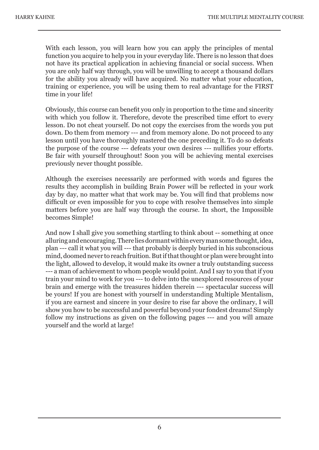With each lesson, you will learn how you can apply the principles of mental function you acquire to help you in your everyday life. There is no lesson that does not have its practical application in achieving financial or social success. When you are only half way through, you will be unwilling to accept a thousand dollars for the ability you already will have acquired. No matter what your education, training or experience, you will be using them to real advantage for the FIRST time in your life!

Obviously, this course can benefit you only in proportion to the time and sincerity with which you follow it. Therefore, devote the prescribed time effort to every lesson. Do not cheat yourself. Do not copy the exercises from the words you put down. Do them from memory --- and from memory alone. Do not proceed to any lesson until you have thoroughly mastered the one preceding it. To do so defeats the purpose of the course --- defeats your own desires --- nullifies your efforts. Be fair with yourself throughout! Soon you will be achieving mental exercises previously never thought possible.

Although the exercises necessarily are performed with words and figures the results they accomplish in building Brain Power will be reflected in your work day by day, no matter what that work may be. You will find that problems now difficult or even impossible for you to cope with resolve themselves into simple matters before you are half way through the course. In short, the Impossible becomes Simple!

And now I shall give you something startling to think about -- something at once alluring and encouraging. There lies dormant within every man some thought, idea, plan --- call it what you will --- that probably is deeply buried in his subconscious mind, doomed never to reach fruition. But if that thought or plan were brought into the light, allowed to develop, it would make its owner a truly outstanding success --- a man of achievement to whom people would point. And I say to you that if you train your mind to work for you --- to delve into the unexplored resources of your brain and emerge with the treasures hidden therein --- spectacular success will be yours! If you are honest with yourself in understanding Multiple Mentalism, if you are earnest and sincere in your desire to rise far above the ordinary, I will show you how to be successful and powerful beyond your fondest dreams! Simply follow my instructions as given on the following pages --- and you will amaze yourself and the world at large!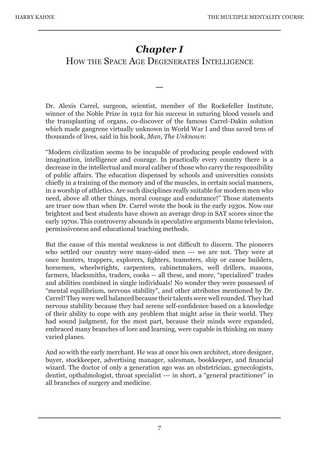## *Chapter I*

## HOW THE SPACE AGE DEGENERATES INTELLIGENCE

—

Dr. Alexis Carrel, surgeon, scientist, member of the Rockefeller Institute, winner of the Noble Prize in 1912 for his success in suturing blood vessels and the transplanting of organs, co-discover of the famous Carrel-Dakin solution which made gangrene virtually unknown in World War I and thus saved tens of thousands of lives, said in his book, *Man, The Unknown*:

"Modern civilization seems to be incapable of producing people endowed with imagination, intelligence and courage. In practically every country there is a decrease in the intellectual and moral caliber of those who carry the responsibility of public affairs. The education dispensed by schools and universities consists chiefly in a training of the memory and of the muscles, in certain social manners, in a worship of athletics. Are such disciplines really suitable for modern men who need, above all other things, moral courage and endurance!" Those statements are truer now than when Dr. Carrel wrote the book in the early 1930s. Now our brightest and best students have shown an average drop in SAT scores since the early 1970s. This controversy abounds in speculative arguments blame television, permissiveness and educational teaching methods.

But the cause of this mental weakness is not difficult to discern. The pioneers who settled our country were many-sided men --- we are not. They were at once hunters, trappers, explorers, fighters, teamsters, ship or canoe builders, horsemen, wheelwrights, carpenters, cabinetmakers, well drillers, masons, farmers, blacksmiths, traders, cooks -- all these, and more, "specialized" trades and abilities combined in single individuals! No wonder they were possessed of "mental equilibrium, nervous stability", and other attributes mentioned by Dr. Carrel! They were well balanced because their talents were well rounded. They had nervous stability because they had serene self-confidence based on a knowledge of their ability to cope with any problem that might arise in their world. They had sound judgment, for the most part, because their minds were expanded, embraced many branches of lore and learning, were capable in thinking on many varied planes.

And so with the early merchant. He was at once his own architect, store designer, buyer, stockkeeper, advertising manager, salesman, bookkeeper, and financial wizard. The doctor of only a generation ago was an obstetrician, gynecologists, dentist, opthalmologist, throat specialist --- in short, a "general practitioner" in all branches of surgery and medicine.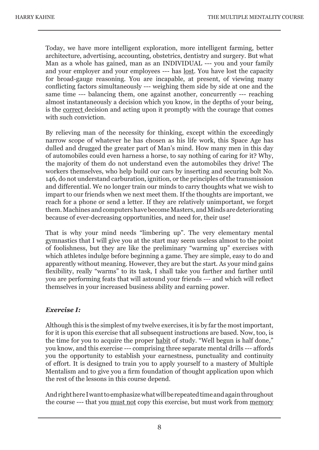Today, we have more intelligent exploration, more intelligent farming, better architecture, advertising, accounting, obstetrics, dentistry and surgery. But what Man as a whole has gained, man as an INDIVIDUAL --- you and your family and your employer and your employees --- has lost. You have lost the capacity for broad-gauge reasoning. You are incapable, at present, of viewing many conflicting factors simultaneously --- weighing them side by side at one and the same time --- balancing them, one against another, concurrently --- reaching almost instantaneously a decision which you know, in the depths of your being, is the correct decision and acting upon it promptly with the courage that comes with such conviction

By relieving man of the necessity for thinking, except within the exceedingly narrow scope of whatever he has chosen as his life work, this Space Age has dulled and drugged the greater part of Man's mind. How many men in this day of automobiles could even harness a horse, to say nothing of caring for it? Why, the majority of them do not understand even the automobiles they drive! The workers themselves, who help build our cars by inserting and securing bolt No. 146, do not understand carburation, ignition, or the principles of the transmission and differential. We no longer train our minds to carry thoughts what we wish to impart to our friends when we next meet them. If the thoughts are important, we reach for a phone or send a letter. If they are relatively unimportant, we forget them. Machines and computers have become Masters, and Minds are deteriorating because of ever-decreasing opportunities, and need for, their use!

That is why your mind needs "limbering up". The very elementary mental gymnastics that I will give you at the start may seem useless almost to the point of foolishness, but they are like the preliminary "warming up" exercises with which athletes indulge before beginning a game. They are simple, easy to do and apparently without meaning. However, they are but the start. As your mind gains flexibility, really "warms" to its task, I shall take you farther and farther until you are performing feats that will astound your friends --- and which will reflect themselves in your increased business ability and earning power.

#### *Exercise I:*

Although this is the simplest of my twelve exercises, it is by far the most important, for it is upon this exercise that all subsequent instructions are based. Now, too, is the time for you to acquire the proper habit of study. "Well begun is half done," you know, and this exercise --- comprising three separate mental drills --- affords you the opportunity to establish your earnestness, punctuality and continuity of effort. It is designed to train you to apply yourself to a mastery of Multiple Mentalism and to give you a firm foundation of thought application upon which the rest of the lessons in this course depend.

And right here I want to emphasize what will be repeated time and again throughout the course --- that you must not copy this exercise, but must work from memory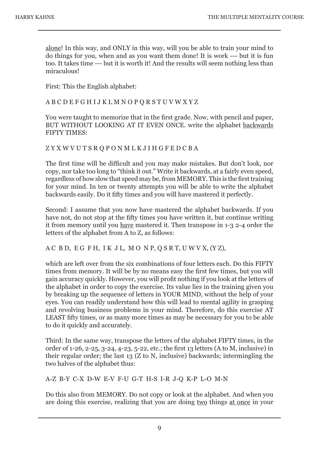alone! In this way, and ONLY in this way, will you be able to train your mind to do things for you, when and as you want them done! It is work --- but it is fun too. It takes time --- but it is worth it! And the results will seem nothing less than miraculous!

First: This the English alphabet:

A B C D E F G H I J K L M N O P Q R S T U V W X Y Z

You were taught to memorize that in the first grade. Now, with pencil and paper, BUT WITHOUT LOOKING AT IT EVEN ONCE. write the alphabet backwards FIFTY TIMES:

Z Y X W V U T S R Q P O N M L K J I H G F E D C B A

The first time will be difficult and you may make mistakes. But don't look, nor copy, nor take too long to "think it out." Write it backwards, at a fairly even speed, regardless of how slow that speed may be, from MEMORY. This is the first training for your mind. In ten or twenty attempts you will be able to write the alphabet backwards easily. Do it fifty times and you will have mastered it perfectly.

Second: I assume that you now have mastered the alphabet backwards. If you have not, do not stop at the fifty times you have written it, but continue writing it from memory until you have mastered it. Then transpose in 1-3 2-4 order the letters of the alphabet from A to Z, as follows:

A C B D, E G F H, I K J L, M O N P, Q S R T, U W V X, (Y Z),

which are left over from the six combinations of four letters each. Do this FIFTY times from memory. It will be by no means easy the first few times, but you will gain accuracy quickly. However, you will profit nothing if you look at the letters of the alphabet in order to copy the exercise. Its value lies in the training given you by breaking up the sequence of letters in YOUR MIND, without the help of your eyes. You can readily understand how this will lead to mental agility in grasping and revolving business problems in your mind. Therefore, do this exercise AT LEAST fifty times, or as many more times as may be necessary for you to be able to do it quickly and accurately.

Third: In the same way, transpose the letters of the alphabet FIFTY times, in the order of 1-26, 2-25, 3-24, 4-23, 5-22, etc.; the first 13 letters (A to M, inclusive) in their regular order; the last 13 (Z to N, inclusive) backwards; intermingling the two halves of the alphabet thus:

A-Z B-Y C-X D-W E-V F-U G-T H-S I-R J-Q K-P L-O M-N

Do this also from MEMORY. Do not copy or look at the alphabet. And when you are doing this exercise, realizing that you are doing two things at once in your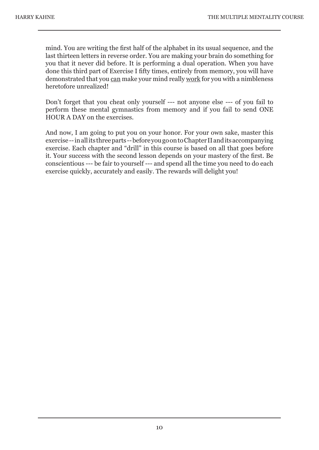mind. You are writing the first half of the alphabet in its usual sequence, and the last thirteen letters in reverse order. You are making your brain do something for you that it never did before. It is performing a dual operation. When you have done this third part of Exercise I fifty times, entirely from memory, you will have demonstrated that you can make your mind really work for you with a nimbleness heretofore unrealized!

Don't forget that you cheat only yourself --- not anyone else --- of you fail to perform these mental gymnastics from memory and if you fail to send ONE HOUR A DAY on the exercises.

And now, I am going to put you on your honor. For your own sake, master this exercise -- in all its three parts -- before you go on to Chapter II and its accompanying exercise. Each chapter and "drill" in this course is based on all that goes before it. Your success with the second lesson depends on your mastery of the first. Be conscientious --- be fair to yourself --- and spend all the time you need to do each exercise quickly, accurately and easily. The rewards will delight you!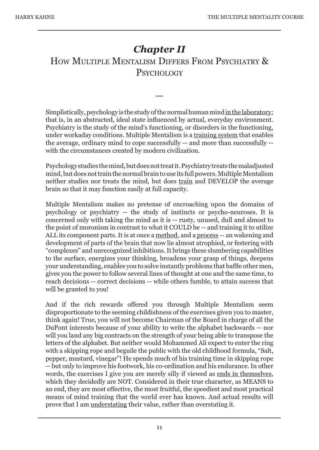## *Chapter II* HOW MULTIPLE MENTALISM DIFFERS FROM PSYCHIATRY & **PSYCHOLOGY**

Simplistically, psychology is the study of the normal human mind in the laboratory; that is, in an abstracted, ideal state influenced by actual, everyday environment. Psychiatry is the study of the mind's functioning, or disorders in the functioning, under workaday conditions. Multiple Mentalism is a training system that enables the average, ordinary mind to cope successfully -- and more than successfully - with the circumstances created by modern civilization.

—

Psychology studies the mind, but does not treat it. Psychiatry treats the maladjusted mind, but does not train the normal brain to use its full powers. Multiple Mentalism neither studies nor treats the mind, but does train and DEVELOP the average brain so that it may function easily at full capacity.

Multiple Mentalism makes no pretense of encroaching upon the domains of psychology or psychiatry -- the study of instincts or psycho-neuroses. It is concerned only with taking the mind as it is -- rusty, unused, dull and almost to the point of moronism in contrast to what it COULD be -- and training it to utilize ALL its component parts. It is at once a method, and a process -- an wakening and development of parts of the brain that now lie almost atrophied, or festering with "complexes" and unrecognized inhibitions. It brings these slumbering capabilities to the surface, energizes your thinking, broadens your grasp of things, deepens your understanding, enables you to solve instantly problems that baffle other men, gives you the power to follow several lines of thought at one and the same time, to reach decisions -- correct decisions -- while others fumble, to attain success that will be granted to you!

And if the rich rewards offered you through Multiple Mentalism seem disproportionate to the seeming childishness of the exercises given you to master, think again! True, you will not become Chairman of the Board in charge of all the DuPont interests because of your ability to write the alphabet backwards -- nor will you land any big contracts on the strength of your being able to transpose the letters of the alphabet. But neither would Mohammed Ali expect to enter the ring with a skipping rope and beguile the public with the old childhood formula, "Salt, pepper, mustard, vinegar"! He spends much of his training time in skipping rope -- but only to improve his footwork, his co-ordination and his endurance. In other words, the exercises I give you are merely silly if viewed as ends in themselves, which they decidedly are NOT. Considered in their true character, as MEANS to an end, they are most effective, the most fruitful, the speediest and most practical means of mind training that the world ever has known. And actual results will prove that I am understating their value, rather than overstating it.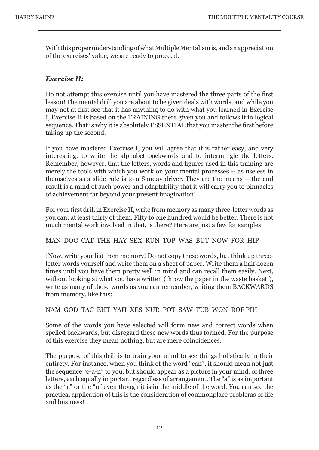With this proper understanding of what Multiple Mentalism is, and an appreciation of the exercises' value, we are ready to proceed.

#### *Exercise II:*

Do not attempt this exercise until you have mastered the three parts of the first lesson! The mental drill you are about to be given deals with words, and while you may not at first see that it has anything to do with what you learned in Exercise I, Exercise II is based on the TRAINING there given you and follows it in logical sequence. That is why it is absolutely ESSENTIAL that you master the first before taking up the second.

If you have mastered Exercise I, you will agree that it is rather easy, and very interesting, to write the alphabet backwards and to intermingle the letters. Remember, however, that the letters, words and figures used in this training are merely the tools with which you work on your mental processes -- as useless in themselves as a slide rule is to a Sunday driver. They are the means -- the end result is a mind of such power and adaptability that it will carry you to pinnacles of achievement far beyond your present imagination!

For your first drill in Exercise II, write from memory as many three-letter words as you can; at least thirty of them. Fifty to one hundred would be better. There is not much mental work involved in that, is there? Here are just a few for samples:

#### MAN DOG CAT THE HAY SEX RUN TOP WAS BUT NOW FOR HIP

|Now, write your list from memory! Do not copy these words, but think up threeletter words yourself and write them on a sheet of paper. Write them a half dozen times until you have them pretty well in mind and can recall them easily. Next, without looking at what you have written (throw the paper in the waste basket!), write as many of those words as you can remember, writing them BACKWARDS from memory, like this:

#### NAM GOD TAC EHT YAH XES NUR POT SAW TUB WON ROF PIH

Some of the words you have selected will form new and correct words when spelled backwards, but disregard these new words thus formed. For the purpose of this exercise they mean nothing, but are mere coincidences.

The purpose of this drill is to train your mind to see things holistically in their entirety. For instance, when you think of the word "can", it should mean not just the sequence "c-a-n" to you, but should appear as a picture in your mind, of three letters, each equally important regardless of arrangement. The "a" is as important as the "c" or the "n" even though it is in the middle of the word. You can see the practical application of this is the consideration of commonplace problems of life and business!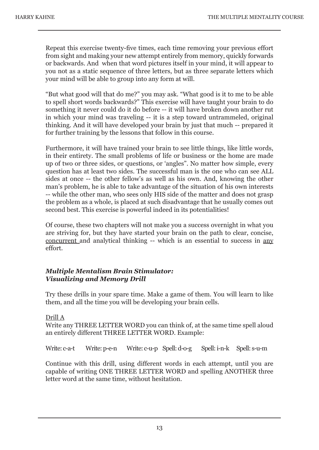Repeat this exercise twenty-five times, each time removing your previous effort from sight and making your new attempt entirely from memory, quickly forwards or backwards. And when that word pictures itself in your mind, it will appear to you not as a static sequence of three letters, but as three separate letters which your mind will be able to group into any form at will.

"But what good will that do me?" you may ask. "What good is it to me to be able to spell short words backwards?" This exercise will have taught your brain to do something it never could do it do before -- it will have broken down another rut in which your mind was traveling -- it is a step toward untrammeled, original thinking. And it will have developed your brain by just that much -- prepared it for further training by the lessons that follow in this course.

Furthermore, it will have trained your brain to see little things, like little words, in their entirety. The small problems of life or business or the home are made up of two or three sides, or questions, or 'angles". No matter how simple, every question has at least two sides. The successful man is the one who can see ALL sides at once -- the other fellow's as well as his own. And, knowing the other man's problem, he is able to take advantage of the situation of his own interests -- while the other man, who sees only HIS side of the matter and does not grasp the problem as a whole, is placed at such disadvantage that he usually comes out second best. This exercise is powerful indeed in its potentialities!

Of course, these two chapters will not make you a success overnight in what you are striving for, but they have started your brain on the path to clear, concise, concurrent and analytical thinking -- which is an essential to success in any effort.

#### *Multiple Mentalism Brain Stimulator: Visualizing and Memory Drill*

Try these drills in your spare time. Make a game of them. You will learn to like them, and all the time you will be developing your brain cells.

#### Drill A

Write any THREE LETTER WORD you can think of, at the same time spell aloud an entirely different THREE LETTER WORD. Example:

Write: c-a-t Write: p-e-n Write: c-u-p Spell: d-o-g Spell: i-n-k Spell: s-u-m

Continue with this drill, using different words in each attempt, until you are capable of writing ONE THREE LETTER WORD and spelling ANOTHER three letter word at the same time, without hesitation.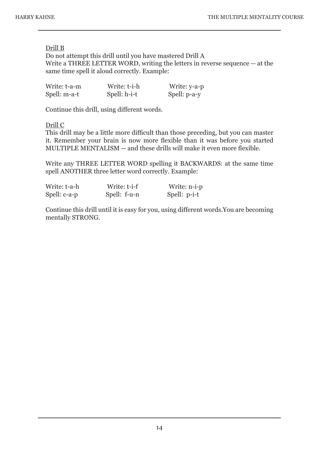#### Drill B

Do not attempt this drill until you have mastered Drill A Write a THREE LETTER WORD, writing the letters in reverse sequence -- at the same time spell it aloud correctly. Example:

| Write: t-a-m | Write: t-i-h | Write: y-a-p |
|--------------|--------------|--------------|
| Spell: m-a-t | Spell: h-i-t | Spell: p-a-y |

Continue this drill, using different words.

Drill C

This drill may be a little more difficult than those preceding, but you can master it. Remember your brain is now more flexible than it was before you started MULTIPLE MENTALISM -- and these drills will make it even more flexible.

Write any THREE LETTER WORD spelling it BACKWARDS: at the same time spell ANOTHER three letter word correctly. Example:

| Write: t-a-h | Write: t-i-f | Write: n-i-p |
|--------------|--------------|--------------|
| Spell: c-a-p | Spell: f-u-n | Spell: p-i-t |

Continue this drill until it is easy for you, using different words.You are becoming mentally STRONG.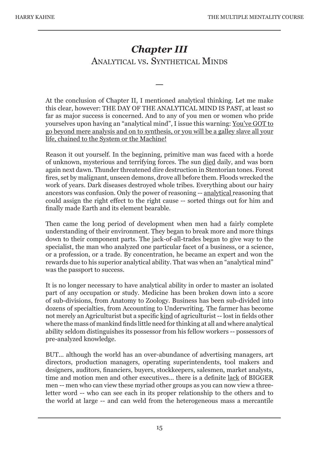## *Chapter III* ANALYTICAL VS. SYNTHETICAL MINDS

—

At the conclusion of Chapter II, I mentioned analytical thinking. Let me make this clear, however: THE DAY OF THE ANALYTICAL MIND IS PAST, at least so far as major success is concerned. And to any of you men or women who pride yourselves upon having an "analytical mind", I issue this warning: You've GOT to go beyond mere analysis and on to synthesis, or you will be a galley slave all your life, chained to the System or the Machine!

Reason it out yourself. In the beginning, primitive man was faced with a horde of unknown, mysterious and terrifying forces. The sun died daily, and was born again next dawn. Thunder threatened dire destruction in Stentorian tones. Forest fires, set by malignant, unseen demons, drove all before them. Floods wrecked the work of years. Dark diseases destroyed whole tribes. Everything about our hairy ancestors was confusion. Only the power of reasoning -- analytical reasoning that could assign the right effect to the right cause -- sorted things out for him and finally made Earth and its element bearable.

Then came the long period of development when men had a fairly complete understanding of their environment. They began to break more and more things down to their component parts. The jack-of-all-trades began to give way to the specialist, the man who analyzed one particular facet of a business, or a science, or a profession, or a trade. By concentration, he became an expert and won the rewards due to his superior analytical ability. That was when an "analytical mind" was the passport to success.

It is no longer necessary to have analytical ability in order to master an isolated part of any occupation or study. Medicine has been broken down into a score of sub-divisions, from Anatomy to Zoology. Business has been sub-divided into dozens of specialties, from Accounting to Underwriting. The farmer has become not merely an Agriculturist but a specific kind of agriculturist -- lost in fields other where the mass of mankind finds little need for thinking at all and where analytical ability seldom distinguishes its possessor from his fellow workers -- possessors of pre-analyzed knowledge.

BUT... although the world has an over-abundance of advertising managers, art directors, production managers, operating superintendents, tool makers and designers, auditors, financiers, buyers, stockkeepers, salesmen, market analysts, time and motion men and other executives... there is a definite lack of BIGGER men -- men who can view these myriad other groups as you can now view a threeletter word -- who can see each in its proper relationship to the others and to the world at large -- and can weld from the heterogeneous mass a mercantile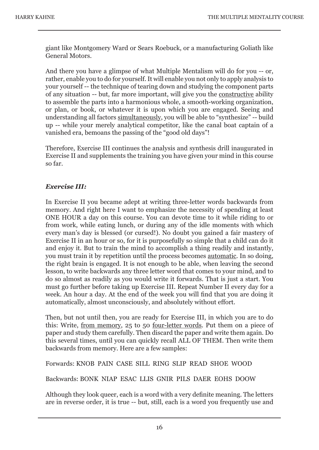giant like Montgomery Ward or Sears Roebuck, or a manufacturing Goliath like General Motors.

And there you have a glimpse of what Multiple Mentalism will do for you -- or, rather, enable you to do for yourself. It will enable you not only to apply analysis to your yourself -- the technique of tearing down and studying the component parts of any situation -- but, far more important, will give you the constructive ability to assemble the parts into a harmonious whole, a smooth-working organization, or plan, or book, or whatever it is upon which you are engaged. Seeing and understanding all factors simultaneously, you will be able to "synthesize" -- build up -- while your merely analytical competitor, like the canal boat captain of a vanished era, bemoans the passing of the "good old days"!

Therefore, Exercise III continues the analysis and synthesis drill inaugurated in Exercise II and supplements the training you have given your mind in this course so far.

#### *Exercise III:*

In Exercise II you became adept at writing three-letter words backwards from memory. And right here I want to emphasize the necessity of spending at least ONE HOUR a day on this course. You can devote time to it while riding to or from work, while eating lunch, or during any of the idle moments with which every man's day is blessed (or cursed!). No doubt you gained a fair mastery of Exercise II in an hour or so, for it is purposefully so simple that a child can do it and enjoy it. But to train the mind to accomplish a thing readily and instantly, you must train it by repetition until the process becomes automatic. In so doing, the right brain is engaged. It is not enough to be able, when leaving the second lesson, to write backwards any three letter word that comes to your mind, and to do so almost as readily as you would write it forwards. That is just a start. You must go further before taking up Exercise III. Repeat Number II every day for a week. An hour a day. At the end of the week you will find that you are doing it automatically, almost unconsciously, and absolutely without effort.

Then, but not until then, you are ready for Exercise III, in which you are to do this: Write, from memory, 25 to 50 four-letter words. Put them on a piece of paper and study them carefully. Then discard the paper and write them again. Do this several times, until you can quickly recall ALL OF THEM. Then write them backwards from memory. Here are a few samples:

Forwards: KNOB PAIN CASE SILL RING SLIP READ SHOE WOOD

Backwards: BONK NIAP ESAC LLIS GNIR PILS DAER EOHS DOOW

Although they look queer, each is a word with a very definite meaning. The letters are in reverse order, it is true -- but, still, each is a word you frequently use and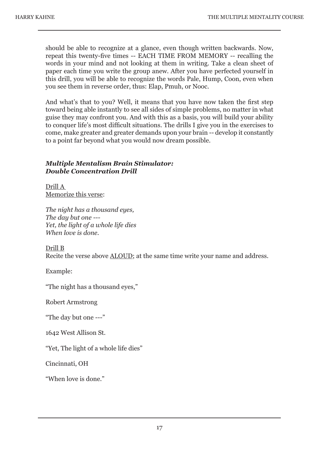should be able to recognize at a glance, even though written backwards. Now, repeat this twenty-five times -- EACH TIME FROM MEMORY -- recalling the words in your mind and not looking at them in writing. Take a clean sheet of paper each time you write the group anew. After you have perfected yourself in this drill, you will be able to recognize the words Pale, Hump, Coon, even when you see them in reverse order, thus: Elap, Pmuh, or Nooc.

And what's that to you? Well, it means that you have now taken the first step toward being able instantly to see all sides of simple problems, no matter in what guise they may confront you. And with this as a basis, you will build your ability to conquer life's most difficult situations. The drills I give you in the exercises to come, make greater and greater demands upon your brain -- develop it constantly to a point far beyond what you would now dream possible.

#### *Multiple Mentalism Brain Stimulator: Double Concentration Drill*

Drill A Memorize this verse:

*The night has a thousand eyes, The day but one --- Yet, the light of a whole life dies When love is done.* 

Drill B

Recite the verse above ALOUD; at the same time write your name and address.

Example:

"The night has a thousand eyes,"

Robert Armstrong

"The day but one ---"

1642 West Allison St.

"Yet, The light of a whole life dies"

Cincinnati, OH

"When love is done"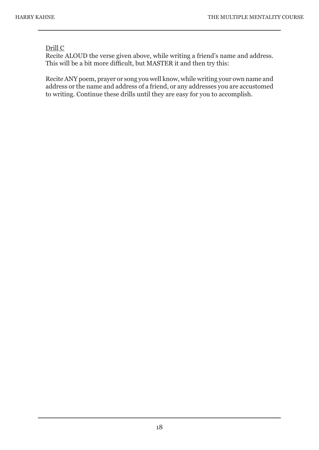#### Drill C

Recite ALOUD the verse given above, while writing a friend's name and address. This will be a bit more difficult, but MASTER it and then try this:

Recite ANY poem, prayer or song you well know, while writing your own name and address or the name and address of a friend, or any addresses you are accustomed to writing. Continue these drills until they are easy for you to accomplish.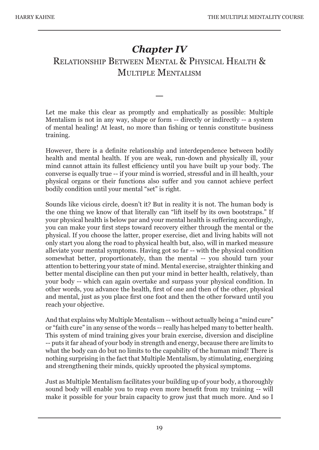## *Chapter IV* RELATIONSHIP BETWEEN MENTAL & PHYSICAL HEALTH & MULTIPLE MENTALISM

Let me make this clear as promptly and emphatically as possible: Multiple Mentalism is not in any way, shape or form -- directly or indirectly -- a system of mental healing! At least, no more than fishing or tennis constitute business training.

—

However, there is a definite relationship and interdependence between bodily health and mental health. If you are weak, run-down and physically ill, your mind cannot attain its fullest efficiency until you have built up your body. The converse is equally true -- if your mind is worried, stressful and in ill health, your physical organs or their functions also suffer and you cannot achieve perfect bodily condition until your mental "set" is right.

Sounds like vicious circle, doesn't it? But in reality it is not. The human body is the one thing we know of that literally can "lift itself by its own bootstraps." If your physical health is below par and your mental health is suffering accordingly, you can make your first steps toward recovery either through the mental or the physical. If you choose the latter, proper exercise, diet and living habits will not only start you along the road to physical health but, also, will in marked measure alleviate your mental symptoms. Having got so far -- with the physical condition somewhat better, proportionately, than the mental -- you should turn your attention to bettering your state of mind. Mental exercise, straighter thinking and better mental discipline can then put your mind in better health, relatively, than your body -- which can again overtake and surpass your physical condition. In other words, you advance the health, first of one and then of the other, physical and mental, just as you place first one foot and then the other forward until you reach your objective.

And that explains why Multiple Mentalism -- without actually being a "mind cure" or "faith cure" in any sense of the words -- really has helped many to better health. This system of mind training gives your brain exercise, diversion and discipline -- puts it far ahead of your body in strength and energy, because there are limits to what the body can do but no limits to the capability of the human mind! There is nothing surprising in the fact that Multiple Mentalism, by stimulating, energizing and strengthening their minds, quickly uprooted the physical symptoms.

Just as Multiple Mentalism facilitates your building up of your body, a thoroughly sound body will enable you to reap even more benefit from my training -- will make it possible for your brain capacity to grow just that much more. And so I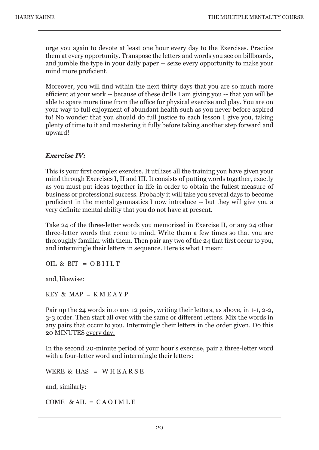urge you again to devote at least one hour every day to the Exercises. Practice them at every opportunity. Transpose the letters and words you see on billboards, and jumble the type in your daily paper -- seize every opportunity to make your mind more proficient.

Moreover, you will find within the next thirty days that you are so much more efficient at your work -- because of these drills I am giving you -- that you will be able to spare more time from the office for physical exercise and play. You are on your way to full enjoyment of abundant health such as you never before aspired to! No wonder that you should do full justice to each lesson I give you, taking plenty of time to it and mastering it fully before taking another step forward and upward!

#### *Exercise IV:*

This is your first complex exercise. It utilizes all the training you have given your mind through Exercises I, II and III. It consists of putting words together, exactly as you must put ideas together in life in order to obtain the fullest measure of business or professional success. Probably it will take you several days to become proficient in the mental gymnastics I now introduce -- but they will give you a very definite mental ability that you do not have at present.

Take 24 of the three-letter words you memorized in Exercise II, or any 24 other three-letter words that come to mind. Write them a few times so that you are thoroughly familiar with them. Then pair any two of the 24 that first occur to you, and intermingle their letters in sequence. Here is what I mean:

OIL & BIT =  $O$  BIILT

and, likewise:

KEY & MAP =  $K M E A Y P$ 

Pair up the 24 words into any 12 pairs, writing their letters, as above, in 1-1, 2-2, 3-3 order. Then start all over with the same or different letters. Mix the words in any pairs that occur to you. Intermingle their letters in the order given. Do this 20 MINUTES every day.

In the second 20-minute period of your hour's exercise, pair a three-letter word with a four-letter word and intermingle their letters:

WERE & HAS = WHEARSE

and, similarly:

COME  $&$  AIL = CAO IMLE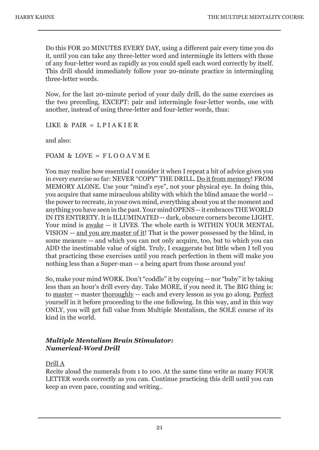Do this FOR 20 MINUTES EVERY DAY, using a different pair every time you do it, until you can take any three-letter word and intermingle its letters with those of any four-letter word as rapidly as you could spell each word correctly by itself. This drill should immediately follow your 20-minute practice in intermingling three-letter words.

Now, for the last 20-minute period of your daily drill, do the same exercises as the two preceding, EXCEPT: pair and intermingle four-letter words, one with another, instead of using three-letter and four-letter words, thus:

LIKE & PAIR =  $L$ PIAKIER

and also:

FOAM & LOVE =  $F$ LOOAVME

You may realize how essential I consider it when I repeat a bit of advice given you in every exercise so far: NEVER "COPY" THE DRILL. Do it from memory! FROM MEMORY ALONE. Use your "mind's eye", not your physical eye. In doing this, you acquire that same miraculous ability with which the blind amaze the world - the power to recreate, in your own mind, everything about you at the moment and anything you have seen in the past. Your mind OPENS -- it embraces THE WORLD IN ITS ENTIRETY. It is ILLUMINATED -- dark, obscure corners become LIGHT. Your mind is awake -- it LIVES. The whole earth is WITHIN YOUR MENTAL VISION -- and you are master of it! That is the power possessed by the blind, in some measure -- and which you can not only acquire, too, but to which you can ADD the inestimable value of sight. Truly, I exaggerate but little when I tell you that practicing these exercises until you reach perfection in them will make you nothing less than a Super-man -- a being apart from those around you!

So, make your mind WORK. Don't "coddle" it by copying -- nor "baby" it by taking less than an hour's drill every day. Take MORE, if you need it. The BIG thing is: to master -- master thoroughly -- each and every lesson as you go along. Perfect yourself in it before proceeding to the one following. In this way, and in this way ONLY, you will get full value from Multiple Mentalism, the SOLE course of its kind in the world.

#### *Multiple Mentalism Brain Stimulator: Numerical-Word Drill*

#### Drill A

Recite aloud the numerals from 1 to 100. At the same time write as many FOUR LETTER words correctly as you can. Continue practicing this drill until you can keep an even pace, counting and writing..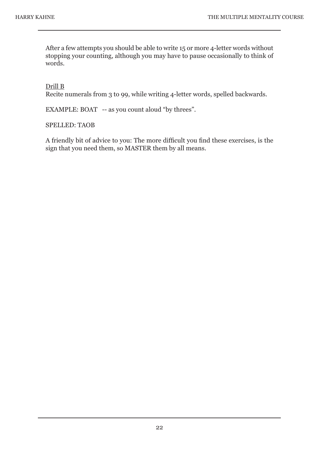After a few attempts you should be able to write 15 or more 4-letter words without stopping your counting, although you may have to pause occasionally to think of words.

#### Drill B

Recite numerals from 3 to 99, while writing 4-letter words, spelled backwards.

EXAMPLE: BOAT -- as you count aloud "by threes".

#### SPELLED: TAOB

A friendly bit of advice to you: The more difficult you find these exercises, is the sign that you need them, so MASTER them by all means.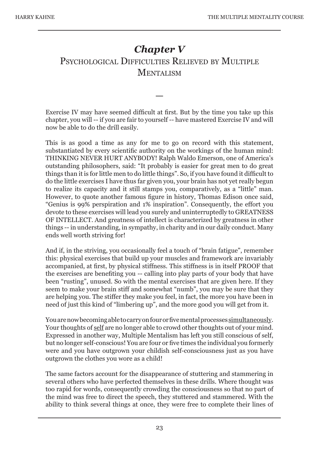## *Chapter V* PSYCHOLOGICAL DIFFICULTIES RELIEVED BY MULTIPLE **MENTALISM**

Exercise IV may have seemed difficult at first. But by the time you take up this chapter, you will -- if you are fair to yourself -- have mastered Exercise IV and will now be able to do the drill easily.

—

This is as good a time as any for me to go on record with this statement, substantiated by every scientific authority on the workings of the human mind: THINKING NEVER HURT ANYBODY! Ralph Waldo Emerson, one of America's outstanding philosophers, said: "It probably is easier for great men to do great things than it is for little men to do little things". So, if you have found it difficult to do the little exercises I have thus far given you, your brain has not yet really begun to realize its capacity and it still stamps you, comparatively, as a "little" man. However, to quote another famous figure in history, Thomas Edison once said, "Genius is 99% perspiration and 1% inspiration". Consequently, the effort you devote to these exercises will lead you surely and uninterruptedly to GREATNESS OF INTELLECT. And greatness of intellect is characterized by greatness in other things -- in understanding, in sympathy, in charity and in our daily conduct. Many ends well worth striving for!

And if, in the striving, you occasionally feel a touch of "brain fatigue", remember this: physical exercises that build up your muscles and framework are invariably accompanied, at first, by physical stiffness. This stiffness is in itself PROOF that the exercises are benefiting you -- calling into play parts of your body that have been "rusting", unused. So with the mental exercises that are given here. If they seem to make your brain stiff and somewhat "numb", you may be sure that they are helping you. The stiffer they make you feel, in fact, the more you have been in need of just this kind of "limbering up", and the more good you will get from it.

You are now becoming able to carry on four or five mental processes simultaneously. Your thoughts of self are no longer able to crowd other thoughts out of your mind. Expressed in another way, Multiple Mentalism has left you still conscious of self, but no longer self-conscious! You are four or five times the individual you formerly were and you have outgrown your childish self-consciousness just as you have outgrown the clothes you wore as a child!

The same factors account for the disappearance of stuttering and stammering in several others who have perfected themselves in these drills. Where thought was too rapid for words, consequently crowding the consciousness so that no part of the mind was free to direct the speech, they stuttered and stammered. With the ability to think several things at once, they were free to complete their lines of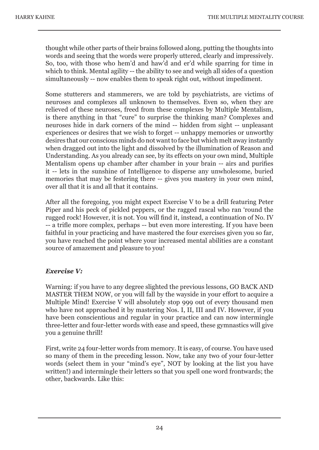thought while other parts of their brains followed along, putting the thoughts into words and seeing that the words were properly uttered, clearly and impressively. So, too, with those who hem'd and haw'd and er'd while sparring for time in which to think. Mental agility -- the ability to see and weigh all sides of a question simultaneously -- now enables them to speak right out, without impediment.

Some stutterers and stammerers, we are told by psychiatrists, are victims of neuroses and complexes all unknown to themselves. Even so, when they are relieved of these neuroses, freed from these complexes by Multiple Mentalism, is there anything in that "cure" to surprise the thinking man? Complexes and neuroses hide in dark corners of the mind -- hidden from sight -- unpleasant experiences or desires that we wish to forget -- unhappy memories or unworthy desires that our conscious minds do not want to face but which melt away instantly when dragged out into the light and dissolved by the illumination of Reason and Understanding. As you already can see, by its effects on your own mind, Multiple Mentalism opens up chamber after chamber in your brain -- airs and purifies it -- lets in the sunshine of Intelligence to disperse any unwholesome, buried memories that may be festering there -- gives you mastery in your own mind, over all that it is and all that it contains.

After all the foregoing, you might expect Exercise V to be a drill featuring Peter Piper and his peck of pickled peppers, or the ragged rascal who ran 'round the rugged rock! However, it is not. You will find it, instead, a continuation of No. IV -- a trifle more complex, perhaps -- but even more interesting. If you have been faithful in your practicing and have mastered the four exercises given you so far, you have reached the point where your increased mental abilities are a constant source of amazement and pleasure to you!

#### *Exercise V:*

Warning: if you have to any degree slighted the previous lessons, GO BACK AND MASTER THEM NOW, or you will fall by the wayside in your effort to acquire a Multiple Mind! Exercise V will absolutely stop 999 out of every thousand men who have not approached it by mastering Nos. I, II, III and IV. However, if you have been conscientious and regular in your practice and can now intermingle three-letter and four-letter words with ease and speed, these gymnastics will give you a genuine thrill!

First, write 24 four-letter words from memory. It is easy, of course. You have used so many of them in the preceding lesson. Now, take any two of your four-letter words (select them in your "mind's eye", NOT by looking at the list you have written!) and intermingle their letters so that you spell one word frontwards; the other, backwards. Like this: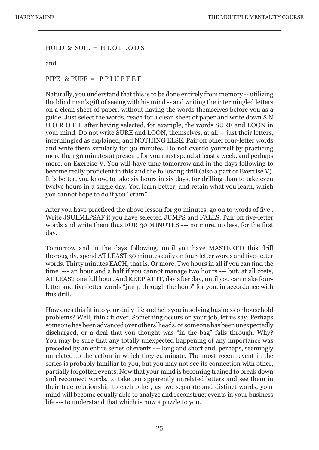#### $HOLD \& SOL = HLOILODS$

and

#### PIPE & PUFF = P P I U P F E F

Naturally, you understand that this is to be done entirely from memory -- utilizing the blind man's gift of seeing with his mind -- and writing the intermingled letters on a clean sheet of paper, without having the words themselves before you as a guide. Just select the words, reach for a clean sheet of paper and write down S N U O R O E L after having selected, for example, the words SURE and LOON in your mind. Do not write SURE and LOON, themselves, at all -- just their letters, intermingled as explained, and NOTHING ELSE. Pair off other four-letter words and write them similarly for 30 minutes. Do not overdo yourself by practicing more than 30 minutes at present, for you must spend at least a week, and perhaps more, on Exercise V. You will have time tomorrow and in the days following to become really proficient in this and the following drill (also a part of Exercise V). It is better, you know, to take six hours in six days, for drilling than to take even twelve hours in a single day. You learn better, and retain what you learn, which you cannot hope to do if you "cram".

After you have practiced the above lesson for 30 minutes, go on to words of five . Write JSULMLPSAF if you have selected JUMPS and FALLS. Pair off five-letter words and write them thus FOR 30 MINUTES --- no more, no less, for the first day.

Tomorrow and in the days following, until you have MASTERED this drill thoroughly, spend AT LEAST 30 minutes daily on four-letter words and five-letter words. Thirty minutes EACH, that is. Or more. Two hours in all if you can find the time --- an hour and a half if you cannot manage two hours --- but, at all costs, AT LEAST one full hour. And KEEP AT IT, day after day, until you can make fourletter and five-letter words "jump through the hoop" for you, in accordance with this drill.

How does this fit into your daily life and help you in solving business or household problems? Well, think it over. Something occurs on your job, let us say. Perhaps someone has been advanced over others' heads, or someone has been unexpectedly discharged, or a deal that you thought was "in the bag" falls through. Why? You may be sure that any totally unexpected happening of any importance was preceded by an entire series of events --- long and short and, perhaps, seemingly unrelated to the action in which they culminate. The most recent event in the series is probably familiar to you, but you may not see its connection with other, partially forgotten events. Now that your mind is becoming trained to break down and reconnect words, to take ten apparently unrelated letters and see them in their true relationship to each other, as two separate and distinct words, your mind will become equally able to analyze and reconstruct events in your business life --- to understand that which is now a puzzle to you.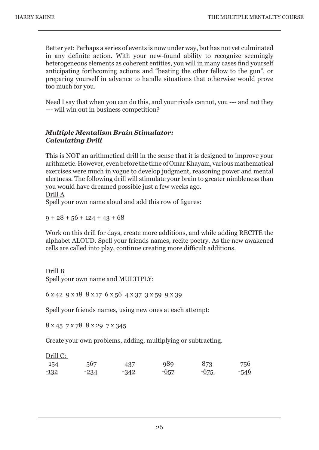Better yet: Perhaps a series of events is now under way, but has not yet culminated in any definite action. With your new-found ability to recognize seemingly heterogeneous elements as coherent entities, you will in many cases find yourself anticipating forthcoming actions and "beating the other fellow to the gun", or preparing yourself in advance to handle situations that otherwise would prove too much for you.

Need I say that when you can do this, and your rivals cannot, you --- and not they --- will win out in business competition?

#### *Multiple Mentalism Brain Stimulator: Calculating Drill*

This is NOT an arithmetical drill in the sense that it is designed to improve your arithmetic. However, even before the time of Omar Khayam, various mathematical exercises were much in vogue to develop judgment, reasoning power and mental alertness. The following drill will stimulate your brain to greater nimbleness than you would have dreamed possible just a few weeks ago.

Drill A

Spell your own name aloud and add this row of figures:

 $9 + 28 + 56 + 124 + 43 + 68$ 

Work on this drill for days, create more additions, and while adding RECITE the alphabet ALOUD. Spell your friends names, recite poetry. As the new awakened cells are called into play, continue creating more difficult additions.

#### Drill B

Spell your own name and MULTIPLY:

6 x 42 9 x 18 8 x 17 6 x 56 4 x 37 3 x 59 9 x 39

Spell your friends names, using new ones at each attempt:

8 x 45 7 x 78 8 x 29 7 x 345

Create your own problems, adding, multiplying or subtracting.

Drill C:

| 154    | 567    | 437    | 989    | 873    | 756    |
|--------|--------|--------|--------|--------|--------|
| $-132$ | $-234$ | $-342$ | $-657$ | $-675$ | $-546$ |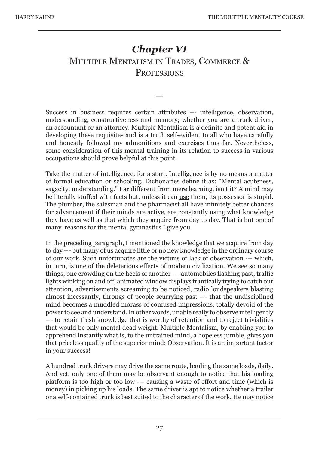## *Chapter VI* MULTIPLE MENTALISM IN TRADES, COMMERCE & **PROFESSIONS**

—

Success in business requires certain attributes --- intelligence, observation, understanding, constructiveness and memory; whether you are a truck driver, an accountant or an attorney. Multiple Mentalism is a definite and potent aid in developing these requisites and is a truth self-evident to all who have carefully and honestly followed my admonitions and exercises thus far. Nevertheless, some consideration of this mental training in its relation to success in various occupations should prove helpful at this point.

Take the matter of intelligence, for a start. Intelligence is by no means a matter of formal education or schooling. Dictionaries define it as: "Mental acuteness, sagacity, understanding." Far different from mere learning, isn't it? A mind may be literally stuffed with facts but, unless it can use them, its possessor is stupid. The plumber, the salesman and the pharmacist all have infinitely better chances for advancement if their minds are active, are constantly using what knowledge they have as well as that which they acquire from day to day. That is but one of many reasons for the mental gymnastics I give you.

In the preceding paragraph, I mentioned the knowledge that we acquire from day to day --- but many of us acquire little or no new knowledge in the ordinary course of our work. Such unfortunates are the victims of lack of observation --- which, in turn, is one of the deleterious effects of modern civilization. We see so many things, one crowding on the heels of another --- automobiles flashing past, traffic lights winking on and off, animated window displays frantically trying to catch our attention, advertisements screaming to be noticed, radio loudspeakers blasting almost incessantly, throngs of people scurrying past --- that the undisciplined mind becomes a muddled morass of confused impressions, totally devoid of the power to see and understand. In other words, unable really to observe intelligently --- to retain fresh knowledge that is worthy of retention and to reject trivialities that would be only mental dead weight. Multiple Mentalism, by enabling you to apprehend instantly what is, to the untrained mind, a hopeless jumble, gives you that priceless quality of the superior mind: Observation. It is an important factor in your success!

A hundred truck drivers may drive the same route, hauling the same loads, daily. And yet, only one of them may be observant enough to notice that his loading platform is too high or too low --- causing a waste of effort and time (which is money) in picking up his loads. The same driver is apt to notice whether a trailer or a self-contained truck is best suited to the character of the work. He may notice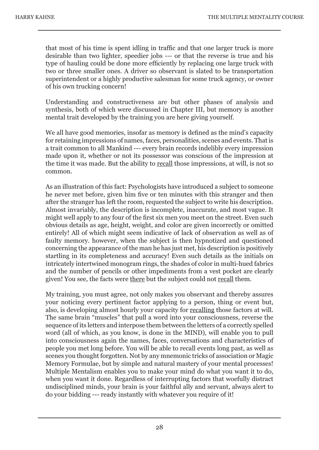that most of his time is spent idling in traffic and that one larger truck is more desirable than two lighter, speedier jobs --- or that the reverse is true and his type of hauling could be done more efficiently by replacing one large truck with two or three smaller ones. A driver so observant is slated to be transportation superintendent or a highly productive salesman for some truck agency, or owner of his own trucking concern!

Understanding and constructiveness are but other phases of analysis and synthesis, both of which were discussed in Chapter III, but memory is another mental trait developed by the training you are here giving yourself.

We all have good memories, insofar as memory is defined as the mind's capacity for retaining impressions of names, faces, personalities, scenes and events. That is a trait common to all Mankind --- every brain records indelibly every impression made upon it, whether or not its possessor was conscious of the impression at the time it was made. But the ability to recall those impressions, at will, is not so common.

As an illustration of this fact: Psychologists have introduced a subject to someone he never met before, given him five or ten minutes with this stranger and then after the stranger has left the room, requested the subject to write his description. Almost invariably, the description is incomplete, inaccurate, and most vague. It might well apply to any four of the first six men you meet on the street. Even such obvious details as age, height, weight, and color are given incorrectly or omitted entirely! All of which might seem indicative of lack of observation as well as of faulty memory. however, when the subject is then hypnotized and questioned concerning the appearance of the man he has just met, his description is positively startling in its completeness and accuracy! Even such details as the initials on intricately intertwined monogram rings, the shades of color in multi-hued fabrics and the number of pencils or other impediments from a vest pocket are clearly given! You see, the facts were there but the subject could not recall them.

My training, you must agree, not only makes you observant and thereby assures your noticing every pertinent factor applying to a person, thing or event but, also, is developing almost hourly your capacity for recalling those factors at will. The same brain "muscles" that pull a word into your consciousness, reverse the sequence of its letters and interpose them between the letters of a correctly spelled word (all of which, as you know, is done in the MIND), will enable you to pull into consciousness again the names, faces, conversations and characteristics of people you met long before. You will be able to recall events long past, as well as scenes you thought forgotten. Not by any mnemonic tricks of association or Magic Memory Formulae, but by simple and natural mastery of your mental processes! Multiple Mentalism enables you to make your mind do what you want it to do, when you want it done. Regardless of interrupting factors that woefully distract undisciplined minds, your brain is your faithful ally and servant, always alert to do your bidding --- ready instantly with whatever you require of it!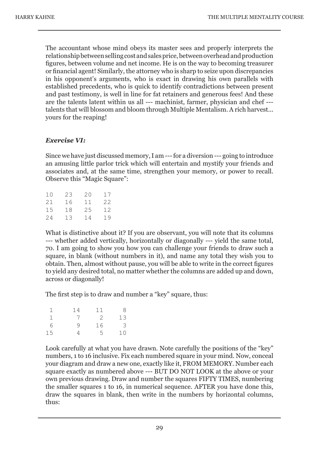The accountant whose mind obeys its master sees and properly interprets the relationship between selling cost and sales price, between overhead and production figures, between volume and net income. He is on the way to becoming treasurer or financial agent! Similarly, the attorney who is sharp to seize upon discrepancies in his opponent's arguments, who is exact in drawing his own parallels with established precedents, who is quick to identify contradictions between present and past testimony, is well in line for fat retainers and generous fees! And these are the talents latent within us all --- machinist, farmer, physician and chef -- talents that will blossom and bloom through Multiple Mentalism. A rich harvest... yours for the reaping!

#### *Exercise VI:*

Since we have just discussed memory, I am --- for a diversion --- going to introduce an amusing little parlor trick which will entertain and mystify your friends and associates and, at the same time, strengthen your memory, or power to recall. Observe this "Magic Square":

| 23 | 20 | 17 |
|----|----|----|
| 16 | 11 | 22 |
| 18 | 25 | 12 |
| 13 | 14 | 19 |
|    |    |    |

What is distinctive about it? If you are observant, you will note that its columns --- whether added vertically, horizontally or diagonally --- yield the same total, 70. I am going to show you how you can challenge your friends to draw such a square, in blank (without numbers in it), and name any total they wish you to obtain. Then, almost without pause, you will be able to write in the correct figures to yield any desired total, no matter whether the columns are added up and down, across or diagonally!

The first step is to draw and number a "key" square, thus:

| ı  | 14 | 11 | 8  |
|----|----|----|----|
| 1  | 7  | -2 | 13 |
| 6  | 9  | 16 | 3  |
| 15 |    | 5  | 10 |

Look carefully at what you have drawn. Note carefully the positions of the "key" numbers, 1 to 16 inclusive. Fix each numbered square in your mind. Now, conceal your diagram and draw a new one, exactly like it, FROM MEMORY. Number each square exactly as numbered above --- BUT DO NOT LOOK at the above or your own previous drawing. Draw and number the squares FIFTY TIMES, numbering the smaller squares 1 to 16, in numerical sequence. AFTER you have done this, draw the squares in blank, then write in the numbers by horizontal columns, thus: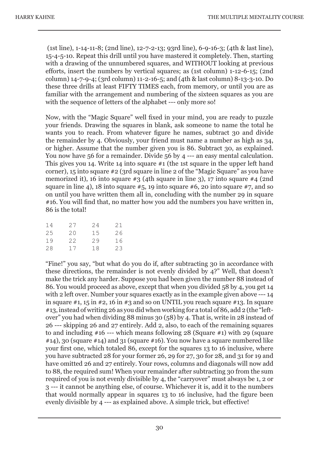(1st line), 1-14-11-8; (2nd line), 12-7-2-13; 93rd line), 6-9-16-3; (4th & last line), 15-4-5-10. Repeat this drill until you have mastered it completely. Then, starting with a drawing of the unnumbered squares, and WITHOUT looking at previous efforts, insert the numbers by vertical squares; as (1st column) 1-12-6-15; (2nd column) 14-7-9-4; (3rd column) 11-2-16-5; and (4th & last column) 8-13-3-10. Do these three drills at least FIFTY TIMES each, from memory, or until you are as familiar with the arrangement and numbering of the sixteen squares as you are with the sequence of letters of the alphabet --- only more so!

Now, with the "Magic Square" well fixed in your mind, you are ready to puzzle your friends. Drawing the squares in blank, ask someone to name the total he wants you to reach. From whatever figure he names, subtract 30 and divide the remainder by 4. Obviously, your friend must name a number as high as 34, or higher. Assume that the number given you is 86. Subtract 30, as explained. You now have 56 for a remainder. Divide 56 by 4 --- an easy mental calculation. This gives you 14. Write 14 into square #1 (the 1st square in the upper left hand corner), 15 into square #2 (3rd square in line 2 of the "Magic Square" as you have memorized it), 16 into square #3 (4th square in line 3), 17 into square #4 (2nd square in line 4), 18 into square  $#5$ , 19 into square  $#6$ , 20 into square  $#7$ , and so on until you have written them all in, concluding with the number 29 in square #16. You will find that, no matter how you add the numbers you have written in, 86 is the total!

| 14 | 27   | 24 | 21 |
|----|------|----|----|
| 25 | 20   | 15 | 26 |
| 19 | 22.2 | 29 | 16 |
| 28 | 17   | 18 | 23 |

"Fine!" you say, "but what do you do if, after subtracting 30 in accordance with these directions, the remainder is not evenly divided by 4?" Well, that doesn't make the trick any harder. Suppose you had been given the number 88 instead of 86. You would proceed as above, except that when you divided 58 by 4, you get 14 with 2 left over. Number your squares exactly as in the example given above --- 14 in square  $\#1$ , 15 in  $\#2$ , 16 in  $\#3$  and so on UNTIL you reach square  $\#13$ . In square #13, instead of writing 26 as you did when working for a total of 86, add 2 (the "leftover" you had when dividing 88 minus 30 (58) by 4. That is, write in 28 instead of 26 --- skipping 26 and 27 entirely. Add 2, also, to each of the remaining squares to and including  $#16$  --- which means following 28 (Square  $#1$ ) with 29 (square  $#14$ ), 30 (square  $#14$ ) and 31 (square  $#16$ ). You now have a square numbered like your first one, which totaled 86, except for the squares 13 to 16 inclusive, where you have subtracted 28 for your former 26, 29 for 27, 30 for 28, and 31 for 19 and have omitted 26 and 27 entirely. Your rows, columns and diagonals will now add to 88, the required sum! When your remainder after subtracting 30 from the sum required of you is not evenly divisible by 4, the "carryover" must always be 1, 2 or 3 --- it cannot be anything else, of course. Whichever it is, add it to the numbers that would normally appear in squares 13 to 16 inclusive, had the figure been evenly divisible by 4 --- as explained above. A simple trick, but effective!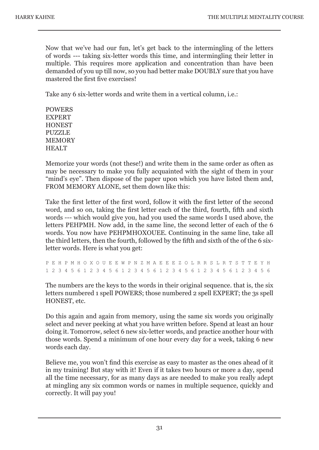Now that we've had our fun, let's get back to the intermingling of the letters of words --- taking six-letter words this time, and intermingling their letter in multiple. This requires more application and concentration than have been demanded of you up till now, so you had better make DOUBLY sure that you have mastered the first five exercises!

Take any 6 six-letter words and write them in a vertical column, i.e.:

POWERS EXPERT **HONEST** PUZZLE MEMORY **HEALT** 

Memorize your words (not these!) and write them in the same order as often as may be necessary to make you fully acquainted with the sight of them in your "mind's eye". Then dispose of the paper upon which you have listed them and, FROM MEMORY ALONE, set them down like this:

Take the first letter of the first word, follow it with the first letter of the second word, and so on, taking the first letter each of the third, fourth, fifth and sixth words --- which would give you, had you used the same words I used above, the letters PEHPMH. Now add, in the same line, the second letter of each of the 6 words. You now have PEHPMHOXOUEE. Continuing in the same line, take all the third letters, then the fourth, followed by the fifth and sixth of the of the 6 sixletter words. Here is what you get:

P E H P M H O X O U E E W P N Z M A E E E Z O L R R S L R T S T T E Y H 1 2 3 4 5 6 1 2 3 4 5 6 1 2 3 4 5 6 1 2 3 4 5 6 1 2 3 4 5 6 1 2 3 4 5 6

The numbers are the keys to the words in their original sequence. that is, the six letters numbered 1 spell POWERS; those numbered 2 spell EXPERT; the 3s spell HONEST, etc.

Do this again and again from memory, using the same six words you originally select and never peeking at what you have written before. Spend at least an hour doing it. Tomorrow, select 6 new six-letter words, and practice another hour with those words. Spend a minimum of one hour every day for a week, taking 6 new words each day.

Believe me, you won't find this exercise as easy to master as the ones ahead of it in my training! But stay with it! Even if it takes two hours or more a day, spend all the time necessary, for as many days as are needed to make you really adept at mingling any six common words or names in multiple sequence, quickly and correctly. It will pay you!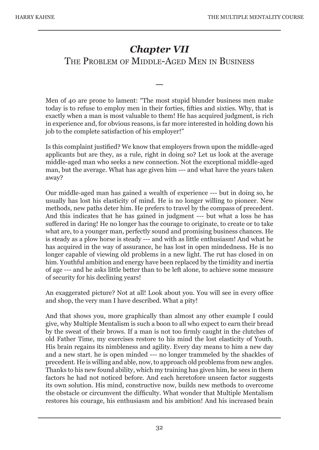## *Chapter VII* THE PROBLEM OF MIDDLE-AGED MEN IN BUSINESS

—

Men of 40 are prone to lament: "The most stupid blunder business men make today is to refuse to employ men in their forties, fifties and sixties. Why, that is exactly when a man is most valuable to them! He has acquired judgment, is rich in experience and, for obvious reasons, is far more interested in holding down his job to the complete satisfaction of his employer!"

Is this complaint justified? We know that employers frown upon the middle-aged applicants but are they, as a rule, right in doing so? Let us look at the average middle-aged man who seeks a new connection. Not the exceptional middle-aged man, but the average. What has age given him --- and what have the years taken away?

Our middle-aged man has gained a wealth of experience --- but in doing so, he usually has lost his elasticity of mind. He is no longer willing to pioneer. New methods, new paths deter him. He prefers to travel by the compass of precedent. And this indicates that he has gained in judgment --- but what a loss he has suffered in daring! He no longer has the courage to originate, to create or to take what are, to a younger man, perfectly sound and promising business chances. He is steady as a plow horse is steady --- and with as little enthusiasm! And what he has acquired in the way of assurance, he has lost in open mindedness. He is no longer capable of viewing old problems in a new light. The rut has closed in on him. Youthful ambition and energy have been replaced by the timidity and inertia of age --- and he asks little better than to be left alone, to achieve some measure of security for his declining years!

An exaggerated picture? Not at all! Look about you. You will see in every office and shop, the very man I have described. What a pity!

And that shows you, more graphically than almost any other example I could give, why Multiple Mentalism is such a boon to all who expect to earn their bread by the sweat of their brows. If a man is not too firmly caught in the clutches of old Father Time, my exercises restore to his mind the lost elasticity of Youth. His brain regains its nimbleness and agility. Every day means to him a new day and a new start. he is open minded --- no longer trammeled by the shackles of precedent. He is willing and able, now, to approach old problems from new angles. Thanks to his new found ability, which my training has given him, he sees in them factors he had not noticed before. And each heretofore unseen factor suggests its own solution. His mind, constructive now, builds new methods to overcome the obstacle or circumvent the difficulty. What wonder that Multiple Mentalism restores his courage, his enthusiasm and his ambition! And his increased brain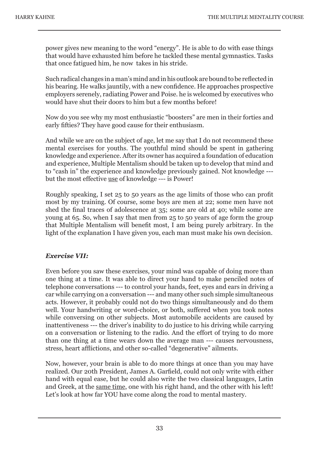power gives new meaning to the word "energy". He is able to do with ease things that would have exhausted him before he tackled these mental gymnastics. Tasks that once fatigued him, he now takes in his stride.

Such radical changes in a man's mind and in his outlook are bound to be reflected in his bearing. He walks jauntily, with a new confidence. He approaches prospective employers serenely, radiating Power and Poise. he is welcomed by executives who would have shut their doors to him but a few months before!

Now do you see why my most enthusiastic "boosters" are men in their forties and early fifties? They have good cause for their enthusiasm.

And while we are on the subject of age, let me say that I do not recommend these mental exercises for youths. The youthful mind should be spent in gathering knowledge and experience. After its owner has acquired a foundation of education and experience, Multiple Mentalism should be taken up to develop that mind and to "cash in" the experience and knowledge previously gained. Not knowledge -- but the most effective use of knowledge --- is Power!

Roughly speaking, I set 25 to 50 years as the age limits of those who can profit most by my training. Of course, some boys are men at 22; some men have not shed the final traces of adolescence at 35; some are old at 40; while some are young at 65. So, when I say that men from 25 to 50 years of age form the group that Multiple Mentalism will benefit most, I am being purely arbitrary. In the light of the explanation I have given you, each man must make his own decision.

#### *Exercise VII:*

Even before you saw these exercises, your mind was capable of doing more than one thing at a time. It was able to direct your hand to make penciled notes of telephone conversations --- to control your hands, feet, eyes and ears in driving a car while carrying on a conversation --- and many other such simple simultaneous acts. However, it probably could not do two things simultaneously and do them well. Your handwriting or word-choice, or both, suffered when you took notes while conversing on other subjects. Most automobile accidents are caused by inattentiveness --- the driver's inability to do justice to his driving while carrying on a conversation or listening to the radio. And the effort of trying to do more than one thing at a time wears down the average man --- causes nervousness, stress, heart afflictions, and other so-called "degenerative" ailments.

Now, however, your brain is able to do more things at once than you may have realized. Our 20th President, James A. Garfield, could not only write with either hand with equal ease, but he could also write the two classical languages, Latin and Greek, at the same time, one with his right hand, and the other with his left! Let's look at how far YOU have come along the road to mental mastery.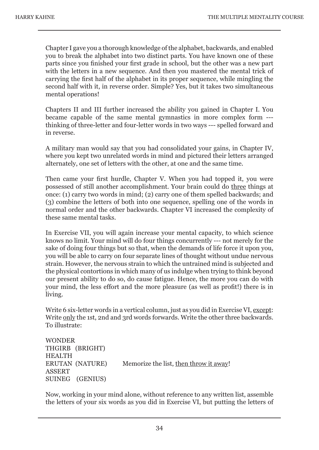Chapter I gave you a thorough knowledge of the alphabet, backwards, and enabled you to break the alphabet into two distinct parts. You have known one of these parts since you finished your first grade in school, but the other was a new part with the letters in a new sequence. And then you mastered the mental trick of carrying the first half of the alphabet in its proper sequence, while mingling the second half with it, in reverse order. Simple? Yes, but it takes two simultaneous mental operations!

Chapters II and III further increased the ability you gained in Chapter I. You became capable of the same mental gymnastics in more complex form -- thinking of three-letter and four-letter words in two ways --- spelled forward and in reverse.

A military man would say that you had consolidated your gains, in Chapter IV, where you kept two unrelated words in mind and pictured their letters arranged alternately, one set of letters with the other, at one and the same time.

Then came your first hurdle, Chapter V. When you had topped it, you were possessed of still another accomplishment. Your brain could do three things at once: (1) carry two words in mind; (2) carry one of them spelled backwards; and (3) combine the letters of both into one sequence, spelling one of the words in normal order and the other backwards. Chapter VI increased the complexity of these same mental tasks.

In Exercise VII, you will again increase your mental capacity, to which science knows no limit. Your mind will do four things concurrently --- not merely for the sake of doing four things but so that, when the demands of life force it upon you, you will be able to carry on four separate lines of thought without undue nervous strain. However, the nervous strain to which the untrained mind is subjected and the physical contortions in which many of us indulge when trying to think beyond our present ability to do so, do cause fatigue. Hence, the more you can do with your mind, the less effort and the more pleasure (as well as profit!) there is in living.

Write 6 six-letter words in a vertical column, just as you did in Exercise VI, except: Write only the 1st, 2nd and 3rd words forwards. Write the other three backwards. To illustrate:

```
WONDER
THGIRB (BRIGHT)
HEALTH
ERUTAN (NATURE) Memorize the list, then throw it away!
ASSERT
SUINEG (GENIUS)
```
Now, working in your mind alone, without reference to any written list, assemble the letters of your six words as you did in Exercise VI, but putting the letters of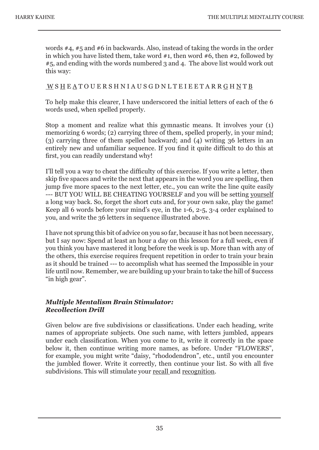words #4, #5 and #6 in backwards. Also, instead of taking the words in the order in which you have listed them, take word  $#1$ , then word  $#6$ , then  $#2$ , followed by #5, and ending with the words numbered 3 and 4. The above list would work out this way:

#### W S H E A T O U E R S H N I A U S G D N L T E I E E T A R R G H N T B

To help make this clearer, I have underscored the initial letters of each of the 6 words used, when spelled properly.

Stop a moment and realize what this gymnastic means. It involves your (1) memorizing 6 words; (2) carrying three of them, spelled properly, in your mind; (3) carrying three of them spelled backward; and (4) writing 36 letters in an entirely new and unfamiliar sequence. If you find it quite difficult to do this at first, you can readily understand why!

I'll tell you a way to cheat the difficulty of this exercise. If you write a letter, then skip five spaces and write the next that appears in the word you are spelling, then jump five more spaces to the next letter, etc., you can write the line quite easily --- BUT YOU WILL BE CHEATING YOURSELF and you will be setting yourself a long way back. So, forget the short cuts and, for your own sake, play the game! Keep all 6 words before your mind's eye, in the 1-6, 2-5, 3-4 order explained to you, and write the 36 letters in sequence illustrated above.

I have not sprung this bit of advice on you so far, because it has not been necessary, but I say now: Spend at least an hour a day on this lesson for a full week, even if you think you have mastered it long before the week is up. More than with any of the others, this exercise requires frequent repetition in order to train your brain as it should be trained --- to accomplish what has seemed the Impossible in your life until now. Remember, we are building up your brain to take the hill of \$uccess "in high gear".

#### *Multiple Mentalism Brain Stimulator: Recollection Drill*

Given below are five subdivisions or classifications. Under each heading, write names of appropriate subjects. One such name, with letters jumbled, appears under each classification. When you come to it, write it correctly in the space below it, then continue writing more names, as before. Under "FLOWERS", for example, you might write "daisy, "rhododendron", etc., until you encounter the jumbled flower. Write it correctly, then continue your list. So with all five subdivisions. This will stimulate your recall and recognition.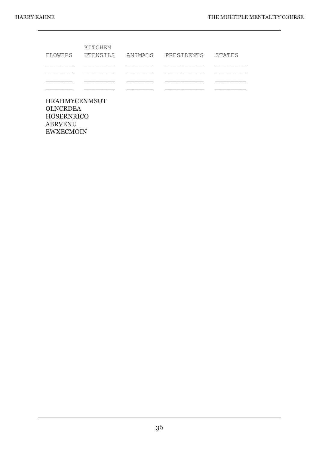| KITCHEN | FLOWERS UTENSILS ANIMALS PRESIDENTS STATES |  |
|---------|--------------------------------------------|--|
|         |                                            |  |
|         |                                            |  |
|         |                                            |  |
|         |                                            |  |

HRAHMYCENMSUT **OLNCRDEA** HOSERNRICO ABRVENU EWXECMOIN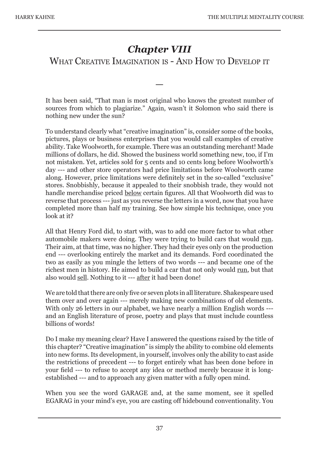## *Chapter VIII*

WHAT CREATIVE IMAGINATION IS - AND HOW TO DEVELOP IT

—

It has been said, "That man is most original who knows the greatest number of sources from which to plagiarize." Again, wasn't it Solomon who said there is nothing new under the sun?

To understand clearly what "creative imagination" is, consider some of the books, pictures, plays or business enterprises that you would call examples of creative ability. Take Woolworth, for example. There was an outstanding merchant! Made millions of dollars, he did. Showed the business world something new, too, if I'm not mistaken. Yet, articles sold for 5 cents and 10 cents long before Woolworth's day --- and other store operators had price limitations before Woolworth came along. However, price limitations were definitely set in the so-called "exclusive" stores. Snobbishly, because it appealed to their snobbish trade, they would not handle merchandise priced below certain figures. All that Woolworth did was to reverse that process --- just as you reverse the letters in a word, now that you have completed more than half my training. See how simple his technique, once you look at it?

All that Henry Ford did, to start with, was to add one more factor to what other automobile makers were doing. They were trying to build cars that would run. Their aim, at that time, was no higher. They had their eyes only on the production end --- overlooking entirely the market and its demands. Ford coordinated the two as easily as you mingle the letters of two words --- and became one of the richest men in history. He aimed to build a car that not only would run, but that also would sell. Nothing to it --- after it had been done!

We are told that there are only five or seven plots in all literature. Shakespeare used them over and over again --- merely making new combinations of old elements. With only 26 letters in our alphabet, we have nearly a million English words --and an English literature of prose, poetry and plays that must include countless billions of words!

Do I make my meaning clear? Have I answered the questions raised by the title of this chapter? "Creative imagination" is simply the ability to combine old elements into new forms. Its development, in yourself, involves only the ability to cast aside the restrictions of precedent --- to forget entirely what has been done before in your field --- to refuse to accept any idea or method merely because it is longestablished --- and to approach any given matter with a fully open mind.

When you see the word GARAGE and, at the same moment, see it spelled EGARAG in your mind's eye, you are casting off hidebound conventionality. You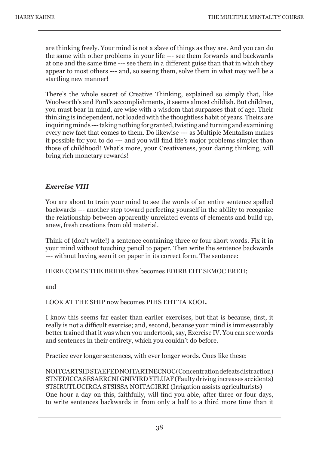are thinking freely. Your mind is not a slave of things as they are. And you can do the same with other problems in your life --- see them forwards and backwards at one and the same time --- see them in a different guise than that in which they appear to most others --- and, so seeing them, solve them in what may well be a startling new manner!

There's the whole secret of Creative Thinking, explained so simply that, like Woolworth's and Ford's accomplishments, it seems almost childish. But children, you must bear in mind, are wise with a wisdom that surpasses that of age. Their thinking is independent, not loaded with the thoughtless habit of years. Theirs are inquiring minds --- taking nothing for granted, twisting and turning and examining every new fact that comes to them. Do likewise --- as Multiple Mentalism makes it possible for you to do --- and you will find life's major problems simpler than those of childhood! What's more, your Creativeness, your daring thinking, will bring rich monetary rewards!

#### *Exercise VIII*

You are about to train your mind to see the words of an entire sentence spelled backwards --- another step toward perfecting yourself in the ability to recognize the relationship between apparently unrelated events of elements and build up, anew, fresh creations from old material.

Think of (don't write!) a sentence containing three or four short words. Fix it in your mind without touching pencil to paper. Then write the sentence backwards --- without having seen it on paper in its correct form. The sentence:

#### HERE COMES THE BRIDE thus becomes EDIRB EHT SEMOC EREH;

and

#### LOOK AT THE SHIP now becomes PIHS EHT TA KOOL.

I know this seems far easier than earlier exercises, but that is because, first, it really is not a difficult exercise; and, second, because your mind is immeasurably better trained that it was when you undertook, say, Exercise IV. You can see words and sentences in their entirety, which you couldn't do before.

Practice ever longer sentences, with ever longer words. Ones like these:

NOITCARTSID STAEFED NOITARTNECNOC (Concentration defeats distraction) STNEDICCA SESAERCNI GNIVIRD YTLUAF (Faulty driving increases accidents) STSIRUTLUCIRGA STSISSA NOITAGIRRI (Irrigation assists agriculturists) One hour a day on this, faithfully, will find you able, after three or four days, to write sentences backwards in from only a half to a third more time than it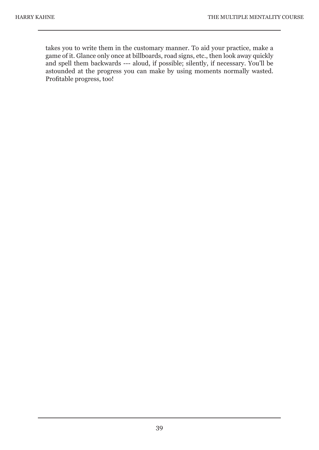takes you to write them in the customary manner. To aid your practice, make a game of it. Glance only once at billboards, road signs, etc., then look away quickly and spell them backwards --- aloud, if possible; silently, if necessary. You'll be astounded at the progress you can make by using moments normally wasted. Profitable progress, too!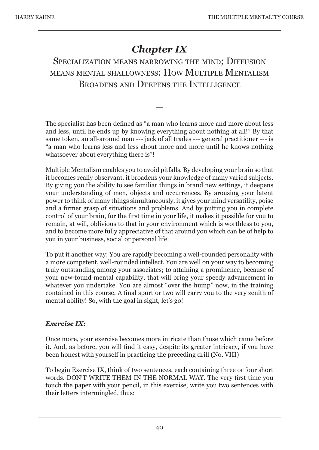## *Chapter IX*

## SPECIALIZATION MEANS NARROWING THE MIND: DIFFUSION MEANS MENTAL SHALLOWNESS: HOW MULTIPLE MENTALISM BROADENS AND DEEPENS THE INTELLIGENCE

The specialist has been defined as "a man who learns more and more about less and less, until he ends up by knowing everything about nothing at all!" By that same token, an all-around man --- jack of all trades --- general practitioner --- is "a man who learns less and less about more and more until he knows nothing whatsoever about everything there is"!

—

Multiple Mentalism enables you to avoid pitfalls. By developing your brain so that it becomes really observant, it broadens your knowledge of many varied subjects. By giving you the ability to see familiar things in brand new settings, it deepens your understanding of men, objects and occurrences. By arousing your latent power to think of many things simultaneously, it gives your mind versatility, poise and a firmer grasp of situations and problems. And by putting you in complete control of your brain, for the first time in your life, it makes it possible for you to remain, at will, oblivious to that in your environment which is worthless to you, and to become more fully appreciative of that around you which can be of help to you in your business, social or personal life.

To put it another way: You are rapidly becoming a well-rounded personality with a more competent, well-rounded intellect. You are well on your way to becoming truly outstanding among your associates; to attaining a prominence, because of your new-found mental capability, that will bring your speedy advancement in whatever you undertake. You are almost "over the hump" now, in the training contained in this course. A final spurt or two will carry you to the very zenith of mental ability! So, with the goal in sight, let's go!

#### *Exercise IX:*

Once more, your exercise becomes more intricate than those which came before it. And, as before, you will find it easy, despite its greater intricacy, if you have been honest with yourself in practicing the preceding drill (No. VIII)

To begin Exercise IX, think of two sentences, each containing three or four short words. DON'T WRITE THEM IN THE NORMAL WAY. The very first time you touch the paper with your pencil, in this exercise, write you two sentences with their letters intermingled, thus: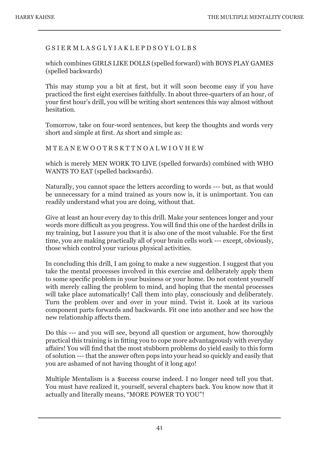#### G S I E R M L A S G L Y I A K L E P D S O Y L O L B S

which combines GIRLS LIKE DOLLS (spelled forward) with BOYS PLAY GAMES (spelled backwards)

This may stump you a bit at first, but it will soon become easy if you have practiced the first eight exercises faithfully. In about three-quarters of an hour, of your first hour's drill, you will be writing short sentences this way almost without hesitation.

Tomorrow, take on four-word sentences, but keep the thoughts and words very short and simple at first. As short and simple as:

M T E A N E W O O T R S K T T N O A L W I O V H E W

which is merely MEN WORK TO LIVE (spelled forwards) combined with WHO WANTS TO EAT (spelled backwards).

Naturally, you cannot space the letters according to words --- but, as that would be unnecessary for a mind trained as yours now is, it is unimportant. You can readily understand what you are doing, without that.

Give at least an hour every day to this drill. Make your sentences longer and your words more difficult as you progress. You will find this one of the hardest drills in my training, but I assure you that it is also one of the most valuable. For the first time, you are making practically all of your brain cells work --- except, obviously, those which control your various physical activities.

In concluding this drill, I am going to make a new suggestion. I suggest that you take the mental processes involved in this exercise and deliberately apply them to some specific problem in your business or your home. Do not content yourself with merely calling the problem to mind, and hoping that the mental processes will take place automatically! Call them into play, consciously and deliberately. Turn the problem over and over in your mind. Twist it. Look at its various component parts forwards and backwards. Fit one into another and see how the new relationship affects them.

Do this --- and you will see, beyond all question or argument, how thoroughly practical this training is in fitting you to cope more advantageously with everyday affairs! You will find that the most stubborn problems do yield easily to this form of solution --- that the answer often pops into your head so quickly and easily that you are ashamed of not having thought of it long ago!

Multiple Mentalism is a \$uccess course indeed. I no longer need tell you that. You must have realized it, yourself, several chapters back. You know now that it actually and literally means, "MORE POWER TO YOU"!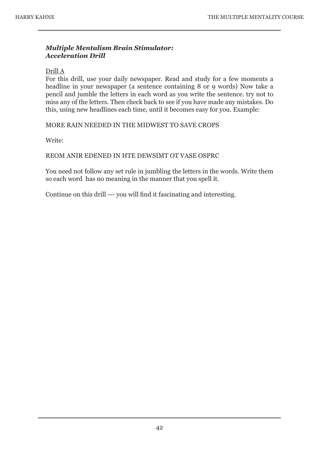#### *Multiple Mentalism Brain Stimulator: Acceleration Drill*

#### Drill A

For this drill, use your daily newspaper. Read and study for a few moments a headline in your newspaper (a sentence containing 8 or 9 words) Now take a pencil and jumble the letters in each word as you write the sentence. try not to miss any of the letters. Then check back to see if you have made any mistakes. Do this, using new headlines each time, until it becomes easy for you. Example:

MORE RAIN NEEDED IN THE MIDWEST TO SAVE CROPS

Write:

#### REOM ANIR EDENED IN HTE DEWSIMT OT VASE OSPRC

You need not follow any set rule in jumbling the letters in the words. Write them so each word has no meaning in the manner that you spell it.

Continue on this drill --- you will find it fascinating and interesting.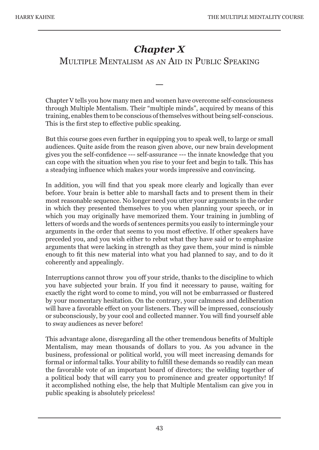## *Chapter X*

## MULTIPLE MENTALISM AS AN AID IN PUBLIC SPEAKING

—

Chapter V tells you how many men and women have overcome self-consciousness through Multiple Mentalism. Their "multiple minds", acquired by means of this training, enables them to be conscious of themselves without being self-conscious. This is the first step to effective public speaking.

But this course goes even further in equipping you to speak well, to large or small audiences. Quite aside from the reason given above, our new brain development gives you the self-confidence --- self-assurance --- the innate knowledge that you can cope with the situation when you rise to your feet and begin to talk. This has a steadying influence which makes your words impressive and convincing.

In addition, you will find that you speak more clearly and logically than ever before. Your brain is better able to marshall facts and to present them in their most reasonable sequence. No longer need you utter your arguments in the order in which they presented themselves to you when planning your speech, or in which you may originally have memorized them. Your training in jumbling of letters of words and the words of sentences permits you easily to intermingle your arguments in the order that seems to you most effective. If other speakers have preceded you, and you wish either to rebut what they have said or to emphasize arguments that were lacking in strength as they gave them, your mind is nimble enough to fit this new material into what you had planned to say, and to do it coherently and appealingly.

Interruptions cannot throw you off your stride, thanks to the discipline to which you have subjected your brain. If you find it necessary to pause, waiting for exactly the right word to come to mind, you will not be embarrassed or flustered by your momentary hesitation. On the contrary, your calmness and deliberation will have a favorable effect on your listeners. They will be impressed, consciously or subconsciously, by your cool and collected manner. You will find yourself able to sway audiences as never before!

This advantage alone, disregarding all the other tremendous benefits of Multiple Mentalism, may mean thousands of dollars to you. As you advance in the business, professional or political world, you will meet increasing demands for formal or informal talks. Your ability to fulfill these demands so readily can mean the favorable vote of an important board of directors; the welding together of a political body that will carry you to prominence and greater opportunity! If it accomplished nothing else, the help that Multiple Mentalism can give you in public speaking is absolutely priceless!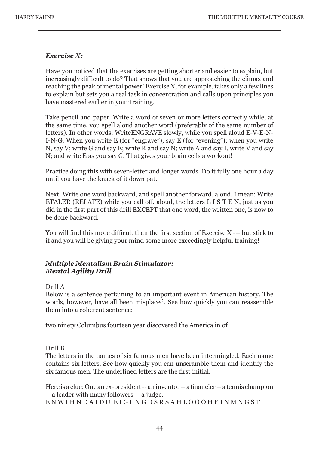#### *Exercise X:*

Have you noticed that the exercises are getting shorter and easier to explain, but increasingly difficult to do? That shows that you are approaching the climax and reaching the peak of mental power! Exercise X, for example, takes only a few lines to explain but sets you a real task in concentration and calls upon principles you have mastered earlier in your training.

Take pencil and paper. Write a word of seven or more letters correctly while, at the same time, you spell aloud another word (preferably of the same number of letters). In other words: WriteENGRAVE slowly, while you spell aloud E-V-E-N-I-N-G. When you write E (for "engrave"), say E (for "evening"); when you write N, say V; write G and say E; write R and say N; write A and say I, write V and say N; and write E as you say G. That gives your brain cells a workout!

Practice doing this with seven-letter and longer words. Do it fully one hour a day until you have the knack of it down pat.

Next: Write one word backward, and spell another forward, aloud. I mean: Write ETALER (RELATE) while you call off, aloud, the letters L I S T E N, just as you did in the first part of this drill EXCEPT that one word, the written one, is now to be done backward.

You will find this more difficult than the first section of Exercise X --- but stick to it and you will be giving your mind some more exceedingly helpful training!

#### *Multiple Mentalism Brain Stimulator: Mental Agility Drill*

#### Drill A

Below is a sentence pertaining to an important event in American history. The words, however, have all been misplaced. See how quickly you can reassemble them into a coherent sentence:

two ninety Columbus fourteen year discovered the America in of

#### Drill B

The letters in the names of six famous men have been intermingled. Each name contains six letters. See how quickly you can unscramble them and identify the six famous men. The underlined letters are the first initial.

Here is a clue: One an ex-president -- an inventor -- a financier -- a tennis champion -- a leader with many followers -- a judge. E N W I H N D A I D U E I G L N G D S R S A H L O O O H E I N M N G S T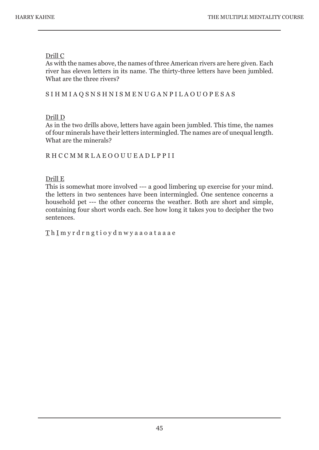#### Drill C

As with the names above, the names of three American rivers are here given. Each river has eleven letters in its name. The thirty-three letters have been jumbled. What are the three rivers?

#### S I H M I A Q S N S H N I S M E N U G A N P I L A O U O P E S A S

#### Drill D

As in the two drills above, letters have again been jumbled. This time, the names of four minerals have their letters intermingled. The names are of unequal length. What are the minerals?

#### R H C C M M R L A E O O U U E A D L P P I I

#### Drill E

This is somewhat more involved --- a good limbering up exercise for your mind. the letters in two sentences have been intermingled. One sentence concerns a household pet --- the other concerns the weather. Both are short and simple, containing four short words each. See how long it takes you to decipher the two sentences.

#### T h I m y r d r n g t i o y d n w y a a o a t a a a e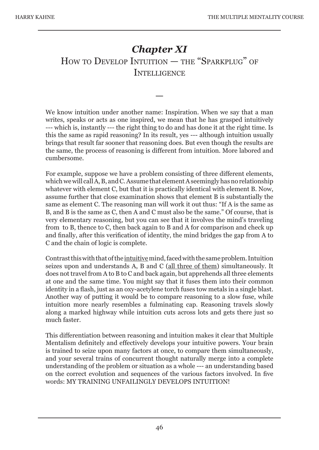## *Chapter XI* HOW TO DEVELOP INTUITION — THE "SPARKPLUG" OF **INTELLIGENCE**

—

We know intuition under another name: Inspiration. When we say that a man writes, speaks or acts as one inspired, we mean that he has grasped intuitively --- which is, instantly --- the right thing to do and has done it at the right time. Is this the same as rapid reasoning? In its result, yes --- although intuition usually brings that result far sooner that reasoning does. But even though the results are the same, the process of reasoning is different from intuition. More labored and cumbersome.

For example, suppose we have a problem consisting of three different elements, which we will call A, B, and C. Assume that element A seemingly has no relationship whatever with element C, but that it is practically identical with element B. Now, assume further that close examination shows that element B is substantially the same as element C. The reasoning man will work it out thus: "If A is the same as B, and B is the same as C, then A and C must also be the same." Of course, that is very elementary reasoning, but you can see that it involves the mind's traveling from to B, thence to C, then back again to B and A for comparison and check up and finally, after this verification of identity, the mind bridges the gap from A to C and the chain of logic is complete.

Contrast this with that of the intuitive mind, faced with the same problem. Intuition seizes upon and understands A, B and C (all three of them) simultaneously. It does not travel from A to B to C and back again, but apprehends all three elements at one and the same time. You might say that it fuses them into their common identity in a flash, just as an oxy-acetylene torch fuses tow metals in a single blast. Another way of putting it would be to compare reasoning to a slow fuse, while intuition more nearly resembles a fulminating cap. Reasoning travels slowly along a marked highway while intuition cuts across lots and gets there just so much faster.

This differentiation between reasoning and intuition makes it clear that Multiple Mentalism definitely and effectively develops your intuitive powers. Your brain is trained to seize upon many factors at once, to compare them simultaneously, and your several trains of concurrent thought naturally merge into a complete understanding of the problem or situation as a whole --- an understanding based on the correct evolution and sequences of the various factors involved. In five words: MY TRAINING UNFAILINGLY DEVELOPS INTUITION!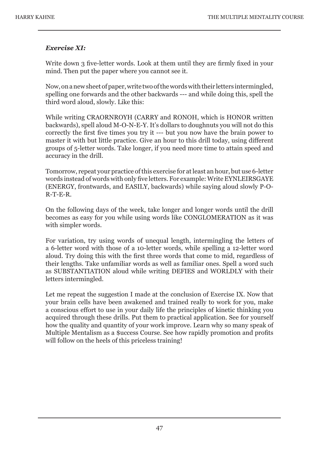#### *Exercise XI:*

Write down 3 five-letter words. Look at them until they are firmly fixed in your mind. Then put the paper where you cannot see it.

Now, on a new sheet of paper, write two of the words with their letters intermingled, spelling one forwards and the other backwards --- and while doing this, spell the third word aloud, slowly. Like this:

While writing CRAORNROYH (CARRY and RONOH, which is HONOR written backwards), spell aloud M-O-N-E-Y. It's dollars to doughnuts you will not do this correctly the first five times you try it --- but you now have the brain power to master it with but little practice. Give an hour to this drill today, using different groups of 5-letter words. Take longer, if you need more time to attain speed and accuracy in the drill.

Tomorrow, repeat your practice of this exercise for at least an hour, but use 6-letter words instead of words with only five letters. For example: Write EYNLEIRSGAYE (ENERGY, frontwards, and EASILY, backwards) while saying aloud slowly P-O-R-T-E-R.

On the following days of the week, take longer and longer words until the drill becomes as easy for you while using words like CONGLOMERATION as it was with simpler words.

For variation, try using words of unequal length, intermingling the letters of a 6-letter word with those of a 10-letter words, while spelling a 12-letter word aloud. Try doing this with the first three words that come to mid, regardless of their lengths. Take unfamiliar words as well as familiar ones. Spell a word such as SUBSTANTIATION aloud while writing DEFIES and WORLDLY with their letters intermingled.

Let me repeat the suggestion I made at the conclusion of Exercise IX. Now that your brain cells have been awakened and trained really to work for you, make a conscious effort to use in your daily life the principles of kinetic thinking you acquired through these drills. Put them to practical application. See for yourself how the quality and quantity of your work improve. Learn why so many speak of Multiple Mentalism as a \$uccess Course. See how rapidly promotion and profits will follow on the heels of this priceless training!